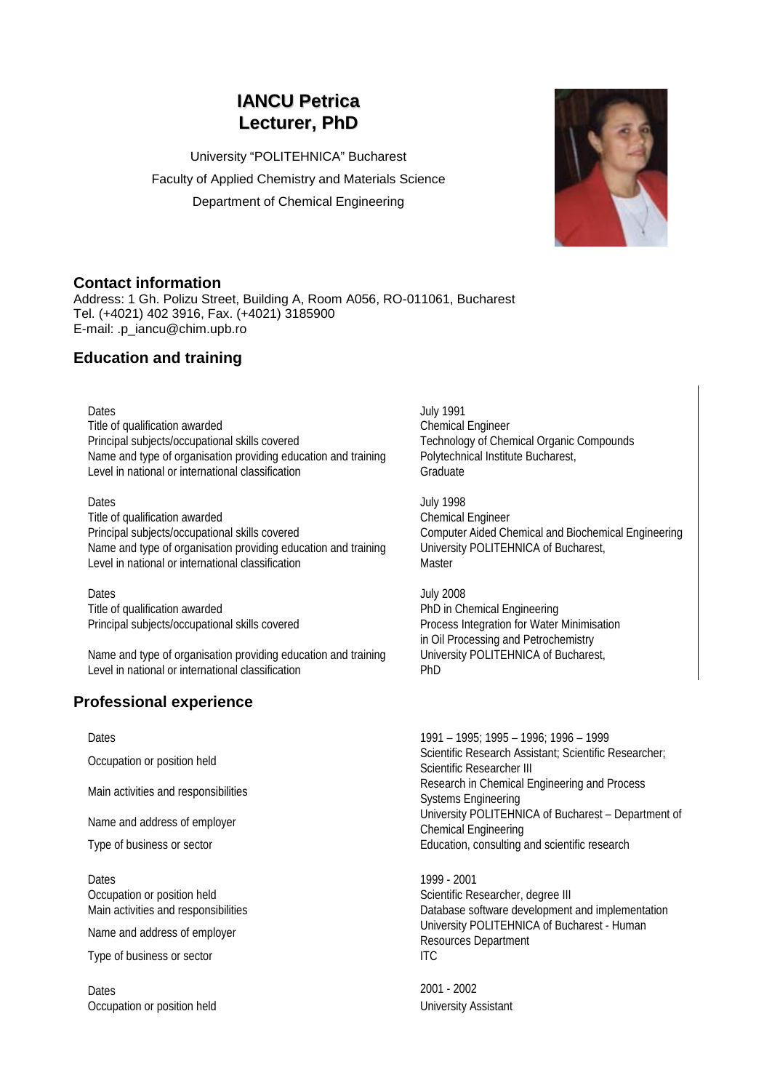# **IANCU Petrica Lecturer, PhD**

University "POLITEHNICA" Bucharest Faculty of Applied Chemistry and Materials Science Department of Chemical Engineering



### **Contact information**

Address: 1 Gh. Polizu Street, Building A, Room A056, RO-011061, Bucharest Tel. (+4021) 402 3916, Fax. (+4021) 3185900 E-mail: .p\_iancu@chim.upb.ro

## **Education and training**

Title of qualification awarded Chemical Engineer Principal subjects/occupational skills covered Technology of Chemical Organic Compounds Name and type of organisation providing education and training Polytechnical Institute Bucharest, Level in national or international classification Graduate

Dates July 1998 Title of qualification awarded<br>
Principal subjects/occupational skills covered<br>
Computer Aided Chemical Engineer Name and type of organisation providing education and training University POLITEHNICA of Bucharest, Level in national or international classification Master

Dates **Dates** July 2008 Title of qualification awarded **PhD** in Chemical Engineering Principal subjects/occupational skills covered Process Integration for Water Minimisation

Name and type of organisation providing education and training University POLITEHNICA of Bucharest, Level in national or international classification example and PhD

## **Professional experience**

Dates 1999 - 2001 Occupation or position held Scientific Researcher, degree III

Type of business or sector ITC

Dates 2001 - 2002 Occupation or position held University Assistant

Dates July 1991

Computer Aided Chemical and Biochemical Engineering

in Oil Processing and Petrochemistry

Dates 1991 – 1995; 1995 – 1996; 1996 – 1999 Occupation or position held Scientific Research Assistant; Scientific Researcher;<br>Catantific Researcher III Scientific Researcher III Main activities and responsibilities **Research in Chemical Engineering and Process** Systems Engineering Name and address of employer Name and address of employer University POLITEHNICA of Bucharest – Department of Chemical Engineering Type of business or sector Education, consulting and scientific research

Main activities and responsibilities Database software development and implementation Name and address of employer **University POLITEHNICA of Bucharest - Human** Resources Department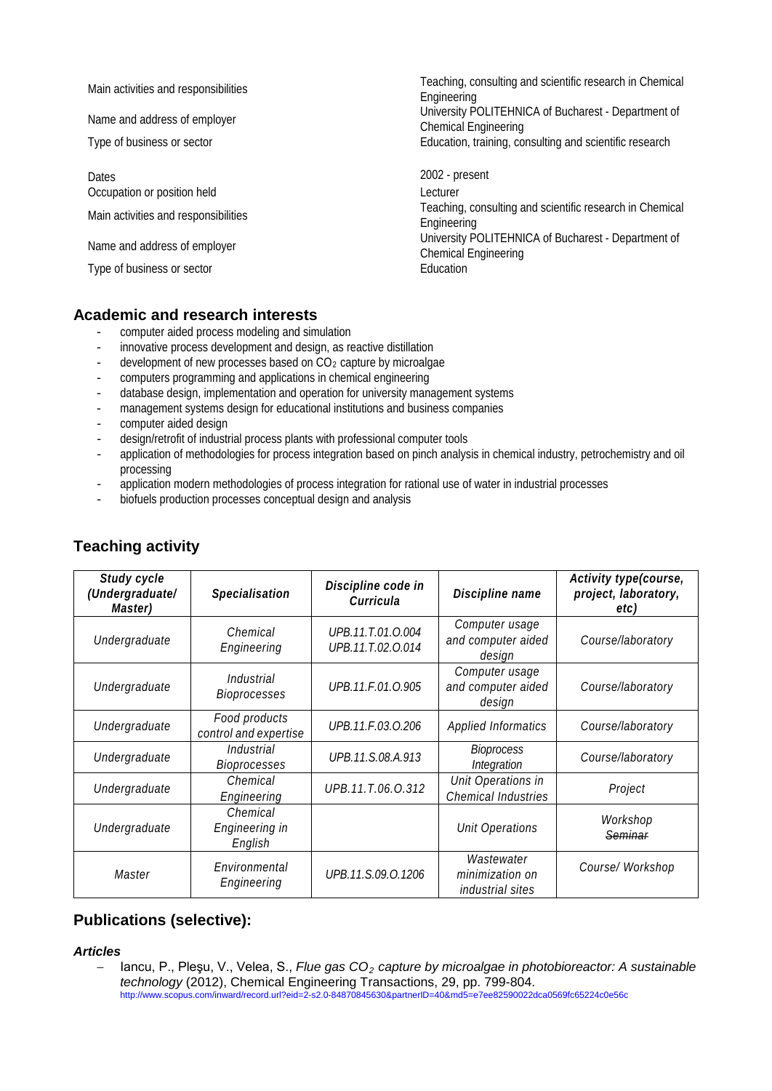| Main activities and responsibilities<br>Name and address of employer                                                                       | Teaching, consulting and scientific research in Chemical<br>Engineering<br>University POLITEHNICA of Bucharest - Department of                                                                           |
|--------------------------------------------------------------------------------------------------------------------------------------------|----------------------------------------------------------------------------------------------------------------------------------------------------------------------------------------------------------|
|                                                                                                                                            | <b>Chemical Engineering</b>                                                                                                                                                                              |
| Type of business or sector                                                                                                                 | Education, training, consulting and scientific research                                                                                                                                                  |
| Dates<br>Occupation or position held<br>Main activities and responsibilities<br>Name and address of employer<br>Type of business or sector | 2002 - present<br>Lecturer<br>Teaching, consulting and scientific research in Chemical<br>Engineering<br>University POLITEHNICA of Bucharest - Department of<br><b>Chemical Engineering</b><br>Education |
|                                                                                                                                            |                                                                                                                                                                                                          |

### **Academic and research interests**

- computer aided process modeling and simulation
- innovative process development and design, as reactive distillation
- development of new processes based on  $CO<sub>2</sub>$  capture by microalgae
- computers programming and applications in chemical engineering
- database design, implementation and operation for university management systems
- management systems design for educational institutions and business companies<br>computer aided design
- computer aided design
- design/retrofit of industrial process plants with professional computer tools
- application of methodologies for process integration based on pinch analysis in chemical industry, petrochemistry and oil processing
- application modern methodologies of process integration for rational use of water in industrial processes
- biofuels production processes conceptual design and analysis

| Study cycle<br>(Undergraduate/<br>Master) | Specialisation                         | Discipline code in<br>Curricula        | Discipline name                                          | Activity type(course,<br>project, laboratory,<br>etc) |
|-------------------------------------------|----------------------------------------|----------------------------------------|----------------------------------------------------------|-------------------------------------------------------|
| Undergraduate                             | Chemical<br>Engineering                | UPB.11.T.01.O.004<br>UPB.11.T.02.O.014 | Computer usage<br>and computer aided<br>design           | Course/laboratory                                     |
| Undergraduate                             | Industrial<br>Bioprocesses             | UPB.11.F.01.O.905                      | Computer usage<br>and computer aided<br>design           | Course/laboratory                                     |
| Undergraduate                             | Food products<br>control and expertise | UPB.11.F.03.O.206                      | <b>Applied Informatics</b>                               | Course/laboratory                                     |
| Undergraduate                             | Industrial<br>Bioprocesses             | UPB.11.S.08.A.913                      | <b>Bioprocess</b><br>Integration                         | Course/laboratory                                     |
| Undergraduate                             | Chemical<br>Engineering                | UPB.11.T.06.O.312                      | Unit Operations in<br>Chemical Industries                | Project                                               |
| Undergraduate                             | Chemical<br>Engineering in<br>English  |                                        | <b>Unit Operations</b>                                   | Workshop<br>Seminar                                   |
| Master                                    | Environmental<br>Engineering           | UPB.11.S.09.O.1206                     | Wastewater<br>minimization on<br><i>industrial sites</i> | Course/ Workshop                                      |

## **Teaching activity**

## **Publications (selective):**

#### *Articles*

− Iancu, P., Pleşu, V., Velea, S., *Flue gas CO2 capture by microalgae in photobioreactor: A sustainable technology* (2012), Chemical Engineering Transactions, 29, pp. 799-804. http://www.scopus.com/inward/record.url?eid=2-s2.0-84870845630&partnerID=40&md5=e7ee82590022dca0569fc65224c0e56c